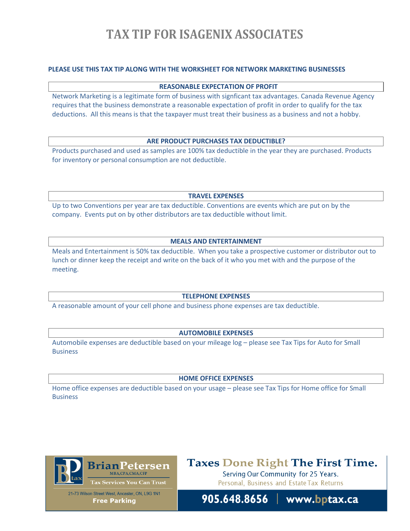# **TAX TIP FOR ISAGENIX ASSOCIATES**

## **PLEASE USE THIS TAX TIP ALONG WITH THE WORKSHEET FOR NETWORK MARKETING BUSINESSES**

#### **REASONABLE EXPECTATION OF PROFIT**

Network Marketing is a legitimate form of business with signficant tax advantages. Canada Revenue Agency requires that the business demonstrate a reasonable expectation of profit in order to qualify for the tax deductions. All this means is that the taxpayer must treat their business as a business and not a hobby.

#### **ARE PRODUCT PURCHASES TAX DEDUCTIBLE?**

Products purchased and used as samples are 100% tax deductible in the year they are purchased. Products for inventory or personal consumption are not deductible.

**TRAVEL EXPENSES**

Up to two Conventions per year are tax deductible. Conventions are events which are put on by the company. Events put on by other distributors are tax deductible without limit.

### **MEALS AND ENTERTAINMENT**

Meals and Entertainment is 50% tax deductible. When you take a prospective customer or distributor out to lunch or dinner keep the receipt and write on the back of it who you met with and the purpose of the meeting.

#### **TELEPHONE EXPENSES**

A reasonable amount of your cell phone and business phone expenses are tax deductible.

### **AUTOMOBILE EXPENSES**

Automobile expenses are deductible based on your mileage log – please see Tax Tips for Auto for Small **Business** 

#### **HOME OFFICE EXPENSES**

Home office expenses are deductible based on your usage – please see Tax Tips for Home office for Small **Business** 



# **Taxes Done Right The First Time.**

Serving Our Community for 25 Years. Personal, Business and Estate Tax Returns

21-73 Wilson Street West, Ancaster, ON, L9G 1N1 **Free Parking** 

905.648.8656 | www.bptax.ca